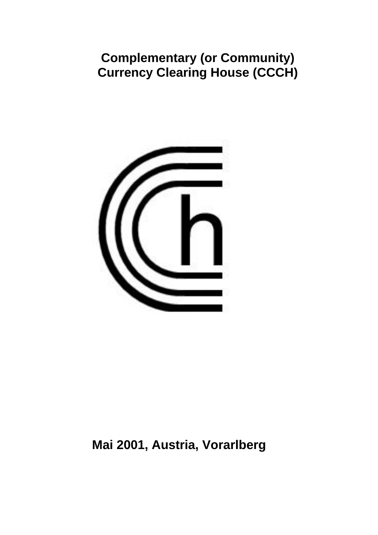# **Complementary (or Community) Currency Clearing House (CCCH)**



# **Mai 2001, Austria, Vorarlberg**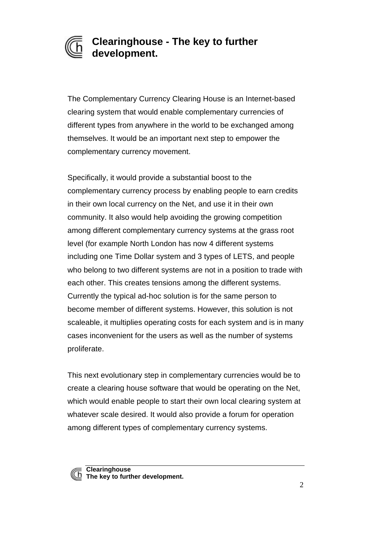

### **Clearinghouse - The key to further development.**

The Complementary Currency Clearing House is an Internet-based clearing system that would enable complementary currencies of different types from anywhere in the world to be exchanged among themselves. It would be an important next step to empower the complementary currency movement.

Specifically, it would provide a substantial boost to the complementary currency process by enabling people to earn credits in their own local currency on the Net, and use it in their own community. It also would help avoiding the growing competition among different complementary currency systems at the grass root level (for example North London has now 4 different systems including one Time Dollar system and 3 types of LETS, and people who belong to two different systems are not in a position to trade with each other. This creates tensions among the different systems. Currently the typical ad-hoc solution is for the same person to become member of different systems. However, this solution is not scaleable, it multiplies operating costs for each system and is in many cases inconvenient for the users as well as the number of systems proliferate.

This next evolutionary step in complementary currencies would be to create a clearing house software that would be operating on the Net, which would enable people to start their own local clearing system at whatever scale desired. It would also provide a forum for operation among different types of complementary currency systems.

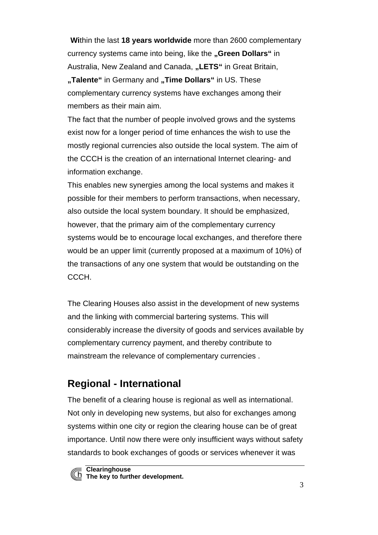**Wi**thin the last **18 years worldwide** more than 2600 complementary currency systems came into being, like the "Green Dollars" in Australia, New Zealand and Canada, **..LETS**" in Great Britain, **"Talente"** in Germany and **"Time Dollars"** in US. These complementary currency systems have exchanges among their members as their main aim.

The fact that the number of people involved grows and the systems exist now for a longer period of time enhances the wish to use the mostly regional currencies also outside the local system. The aim of the CCCH is the creation of an international Internet clearing- and information exchange.

This enables new synergies among the local systems and makes it possible for their members to perform transactions, when necessary, also outside the local system boundary. It should be emphasized, however, that the primary aim of the complementary currency systems would be to encourage local exchanges, and therefore there would be an upper limit (currently proposed at a maximum of 10%) of the transactions of any one system that would be outstanding on the CCCH.

The Clearing Houses also assist in the development of new systems and the linking with commercial bartering systems. This will considerably increase the diversity of goods and services available by complementary currency payment, and thereby contribute to mainstream the relevance of complementary currencies .

## **Regional - International**

The benefit of a clearing house is regional as well as international. Not only in developing new systems, but also for exchanges among systems within one city or region the clearing house can be of great importance. Until now there were only insufficient ways without safety standards to book exchanges of goods or services whenever it was



**Clearinghouse The key to further development.**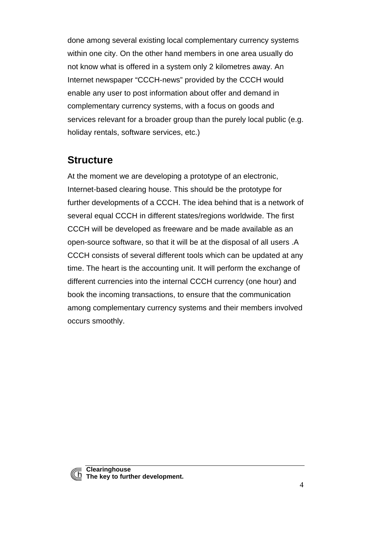done among several existing local complementary currency systems within one city. On the other hand members in one area usually do not know what is offered in a system only 2 kilometres away. An Internet newspaper "CCCH-news" provided by the CCCH would enable any user to post information about offer and demand in complementary currency systems, with a focus on goods and services relevant for a broader group than the purely local public (e.g. holiday rentals, software services, etc.)

### **Structure**

At the moment we are developing a prototype of an electronic, Internet-based clearing house. This should be the prototype for further developments of a CCCH. The idea behind that is a network of several equal CCCH in different states/regions worldwide. The first CCCH will be developed as freeware and be made available as an open-source software, so that it will be at the disposal of all users .A CCCH consists of several different tools which can be updated at any time. The heart is the accounting unit. It will perform the exchange of different currencies into the internal CCCH currency (one hour) and book the incoming transactions, to ensure that the communication among complementary currency systems and their members involved occurs smoothly.

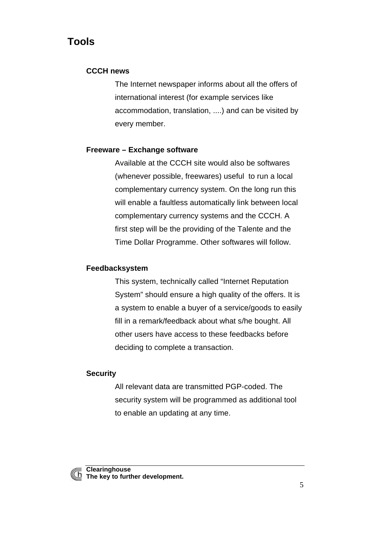### **Tools**

#### **CCCH news**

The Internet newspaper informs about all the offers of international interest (for example services like accommodation, translation, ....) and can be visited by every member.

#### **Freeware – Exchange software**

Available at the CCCH site would also be softwares (whenever possible, freewares) useful to run a local complementary currency system. On the long run this will enable a faultless automatically link between local complementary currency systems and the CCCH. A first step will be the providing of the Talente and the Time Dollar Programme. Other softwares will follow.

#### **Feedbacksystem**

This system, technically called "Internet Reputation System" should ensure a high quality of the offers. It is a system to enable a buyer of a service/goods to easily fill in a remark/feedback about what s/he bought. All other users have access to these feedbacks before deciding to complete a transaction.

#### **Security**

All relevant data are transmitted PGP-coded. The security system will be programmed as additional tool to enable an updating at any time.

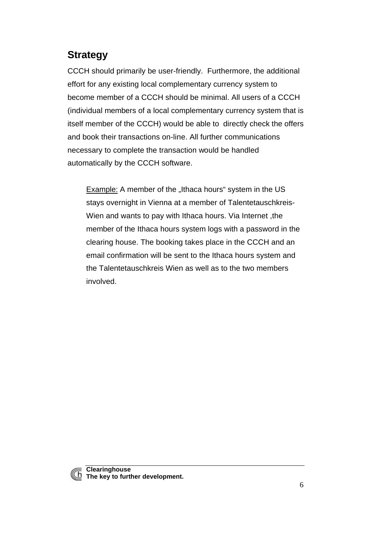## **Strategy**

CCCH should primarily be user-friendly. Furthermore, the additional effort for any existing local complementary currency system to become member of a CCCH should be minimal. All users of a CCCH (individual members of a local complementary currency system that is itself member of the CCCH) would be able to directly check the offers and book their transactions on-line. All further communications necessary to complete the transaction would be handled automatically by the CCCH software.

Example: A member of the "Ithaca hours" system in the US stays overnight in Vienna at a member of Talentetauschkreis-Wien and wants to pay with Ithaca hours. Via Internet ,the member of the Ithaca hours system logs with a password in the clearing house. The booking takes place in the CCCH and an email confirmation will be sent to the Ithaca hours system and the Talentetauschkreis Wien as well as to the two members involved.

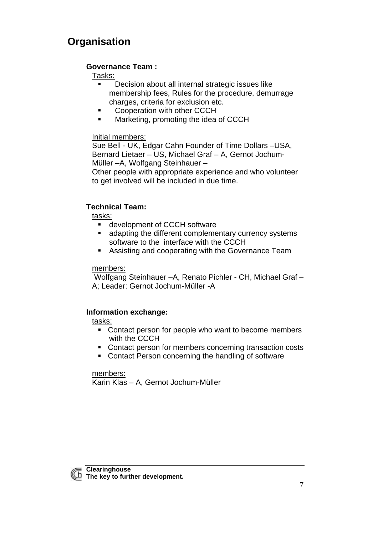## **Organisation**

#### **Governance Team :**

#### Tasks:

- **Decision about all internal strategic issues like** membership fees, Rules for the procedure, demurrage charges, criteria for exclusion etc.
- **Cooperation with other CCCH**
- **Karketing, promoting the idea of CCCH**

#### Initial members:

Sue Bell - UK, Edgar Cahn Founder of Time Dollars –USA, Bernard Lietaer – US, Michael Graf – A, Gernot Jochum-Müller –A, Wolfgang Steinhauer –

Other people with appropriate experience and who volunteer to get involved will be included in due time.

#### **Technical Team:**

tasks:

- **EXECCH** software
- **EXECUTE:** adapting the different complementary currency systems software to the interface with the CCCH
- **BED Assisting and cooperating with the Governance Team**

#### members:

 Wolfgang Steinhauer –A, Renato Pichler - CH, Michael Graf – A; Leader: Gernot Jochum-Müller -A

#### **Information exchange:**

#### tasks:

- Contact person for people who want to become members with the CCCH
- Contact person for members concerning transaction costs
- Contact Person concerning the handling of software

#### members:

Karin Klas – A, Gernot Jochum-Müller

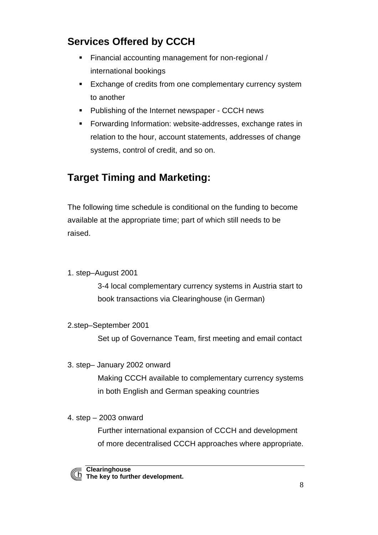# **Services Offered by CCCH**

- **Financial accounting management for non-regional /** international bookings
- **Exchange of credits from one complementary currency system** to another
- **Publishing of the Internet newspaper CCCH news**
- **Forwarding Information: website-addresses, exchange rates in** relation to the hour, account statements, addresses of change systems, control of credit, and so on.

# **Target Timing and Marketing:**

The following time schedule is conditional on the funding to become available at the appropriate time; part of which still needs to be raised.

1. step–August 2001

3-4 local complementary currency systems in Austria start to book transactions via Clearinghouse (in German)

2.step–September 2001

Set up of Governance Team, first meeting and email contact

3. step– January 2002 onward

Making CCCH available to complementary currency systems in both English and German speaking countries

4. step – 2003 onward

Further international expansion of CCCH and development of more decentralised CCCH approaches where appropriate.



**Clearinghouse The key to further development.**